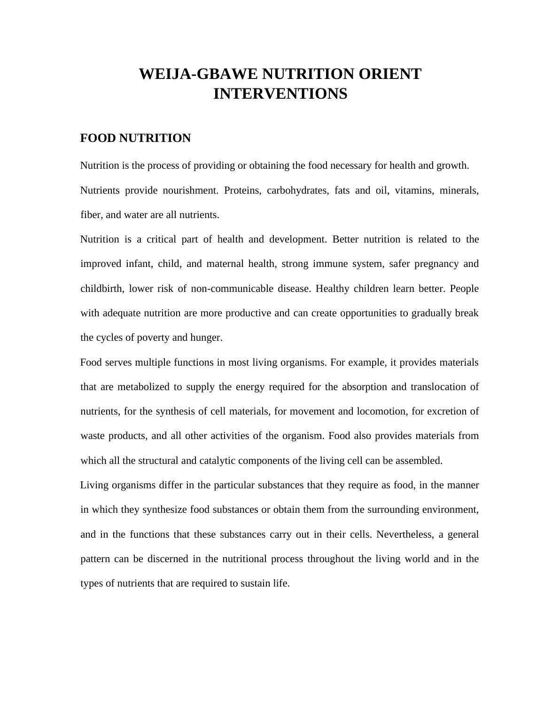# **WEIJA-GBAWE NUTRITION ORIENT INTERVENTIONS**

#### **FOOD NUTRITION**

Nutrition is the process of providing or obtaining the food necessary for health and growth. Nutrients provide nourishment. Proteins, carbohydrates, fats and oil, vitamins, minerals, fiber, and water are all nutrients.

Nutrition is a critical part of health and development. Better nutrition is related to the improved infant, child, and maternal health, strong immune system, safer pregnancy and childbirth, lower risk of non-communicable disease. Healthy children learn better. People with adequate nutrition are more productive and can create opportunities to gradually break the cycles of poverty and hunger.

Food serves multiple functions in most living organisms. For example, it provides materials that are metabolized to supply the energy required for the absorption and translocation of nutrients, for the synthesis of cell materials, for movement and locomotion, for excretion of waste products, and all other activities of the organism. Food also provides materials from which all the structural and catalytic components of the living cell can be assembled.

Living organisms differ in the particular substances that they require as food, in the manner in which they synthesize food substances or obtain them from the surrounding environment, and in the functions that these substances carry out in their cells. Nevertheless, a general pattern can be discerned in the nutritional process throughout the living world and in the types of nutrients that are required to sustain life.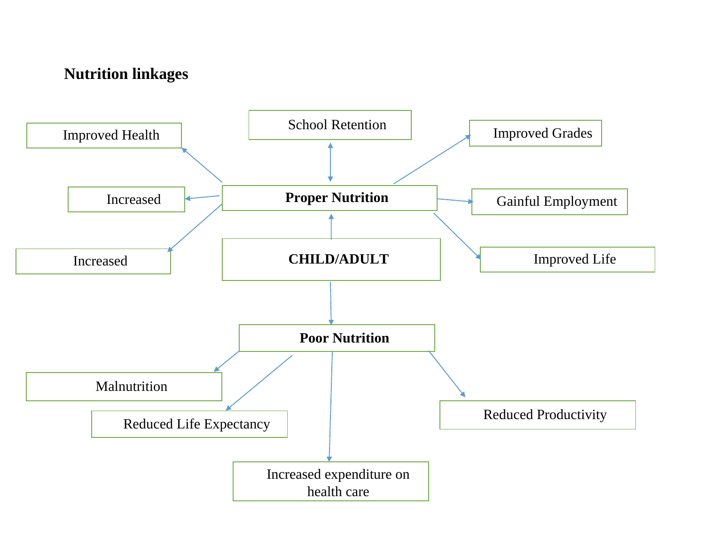## **Nutrition linkages**

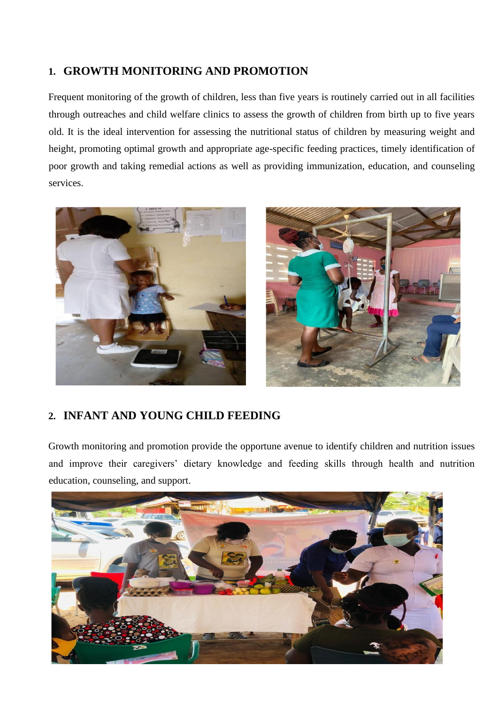### **1. GROWTH MONITORING AND PROMOTION**

Frequent monitoring of the growth of children, less than five years is routinely carried out in all facilities through outreaches and child welfare clinics to assess the growth of children from birth up to five years old. It is the ideal intervention for assessing the nutritional status of children by measuring weight and height, promoting optimal growth and appropriate age-specific feeding practices, timely identification of poor growth and taking remedial actions as well as providing immunization, education, and counseling services.





### **2. INFANT AND YOUNG CHILD FEEDING**

Growth monitoring and promotion provide the opportune avenue to identify children and nutrition issues and improve their caregivers' dietary knowledge and feeding skills through health and nutrition education, counseling, and support.

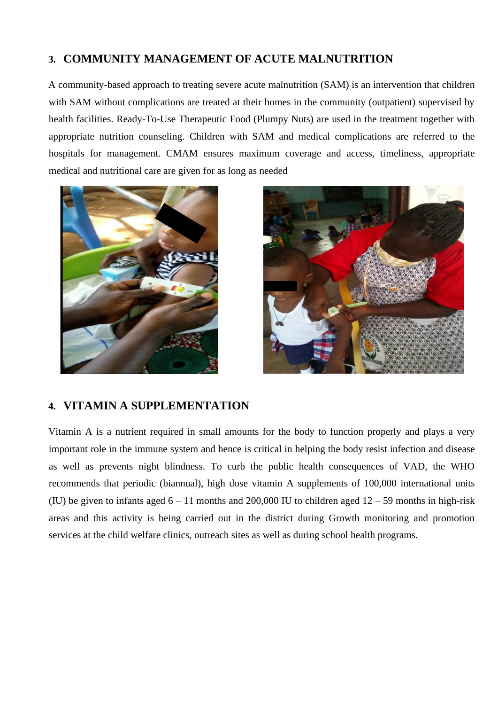#### **3. COMMUNITY MANAGEMENT OF ACUTE MALNUTRITION**

A community-based approach to treating severe acute malnutrition (SAM) is an intervention that children with SAM without complications are treated at their homes in the community (outpatient) supervised by health facilities. Ready-To-Use Therapeutic Food (Plumpy Nuts) are used in the treatment together with appropriate nutrition counseling. Children with SAM and medical complications are referred to the hospitals for management. CMAM ensures maximum coverage and access, timeliness, appropriate medical and nutritional care are given for as long as needed





#### **4. VITAMIN A SUPPLEMENTATION**

Vitamin A is a nutrient required in small amounts for the body to function properly and plays a very important role in the immune system and hence is critical in helping the body resist infection and disease as well as prevents night blindness. To curb the public health consequences of VAD, the WHO recommends that periodic (biannual), high dose vitamin A supplements of 100,000 international units (IU) be given to infants aged  $6 - 11$  months and 200,000 IU to children aged  $12 - 59$  months in high-risk areas and this activity is being carried out in the district during Growth monitoring and promotion services at the child welfare clinics, outreach sites as well as during school health programs.